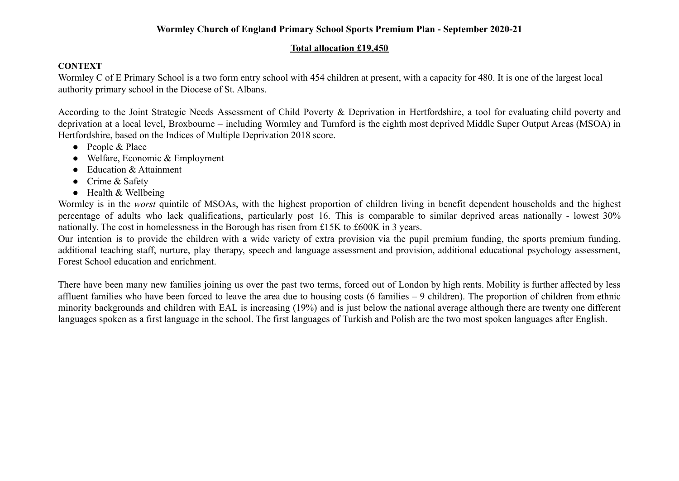### **Wormley Church of England Primary School Sports Premium Plan - September 2020-21**

### **Total allocation £19,450**

### **CONTEXT**

Wormley C of E Primary School is a two form entry school with 454 children at present, with a capacity for 480. It is one of the largest local authority primary school in the Diocese of St. Albans.

According to the Joint Strategic Needs Assessment of Child Poverty & Deprivation in Hertfordshire, a tool for evaluating child poverty and deprivation at a local level, Broxbourne – including Wormley and Turnford is the eighth most deprived Middle Super Output Areas (MSOA) in Hertfordshire, based on the Indices of Multiple Deprivation 2018 score.

- People & Place
- Welfare, Economic & Employment
- Education & Attainment
- Crime & Safety
- Health & Wellbeing

Wormley is in the *worst* quintile of MSOAs, with the highest proportion of children living in benefit dependent households and the highest percentage of adults who lack qualifications, particularly post 16. This is comparable to similar deprived areas nationally - lowest 30% nationally. The cost in homelessness in the Borough has risen from £15K to £600K in 3 years.

Our intention is to provide the children with a wide variety of extra provision via the pupil premium funding, the sports premium funding, additional teaching staff, nurture, play therapy, speech and language assessment and provision, additional educational psychology assessment, Forest School education and enrichment.

There have been many new families joining us over the past two terms, forced out of London by high rents. Mobility is further affected by less affluent families who have been forced to leave the area due to housing costs (6 families – 9 children). The proportion of children from ethnic minority backgrounds and children with EAL is increasing (19%) and is just below the national average although there are twenty one different languages spoken as a first language in the school. The first languages of Turkish and Polish are the two most spoken languages after English.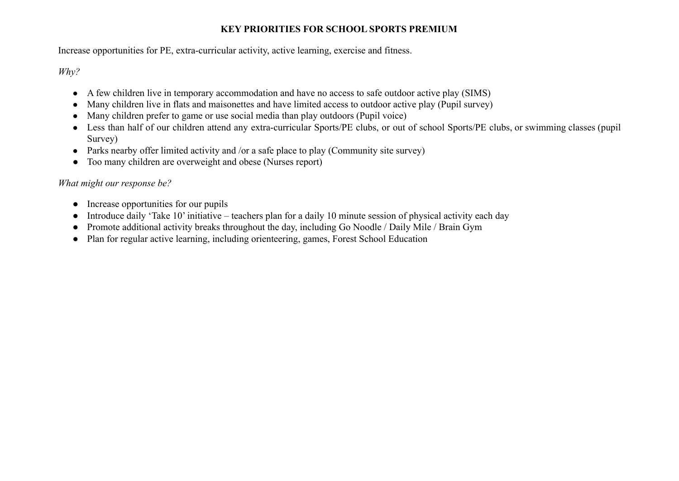# **KEY PRIORITIES FOR SCHOOL SPORTS PREMIUM**

Increase opportunities for PE, extra-curricular activity, active learning, exercise and fitness.

*Why?*

- A few children live in temporary accommodation and have no access to safe outdoor active play (SIMS)
- Many children live in flats and maisonettes and have limited access to outdoor active play (Pupil survey)
- Many children prefer to game or use social media than play outdoors (Pupil voice)
- Less than half of our children attend any extra-curricular Sports/PE clubs, or out of school Sports/PE clubs, or swimming classes (pupil Survey)
- Parks nearby offer limited activity and /or a safe place to play (Community site survey)
- Too many children are overweight and obese (Nurses report)

# *What might our response be?*

- Increase opportunities for our pupils
- Introduce daily 'Take 10' initiative teachers plan for a daily 10 minute session of physical activity each day
- Promote additional activity breaks throughout the day, including Go Noodle / Daily Mile / Brain Gym
- Plan for regular active learning, including orienteering, games, Forest School Education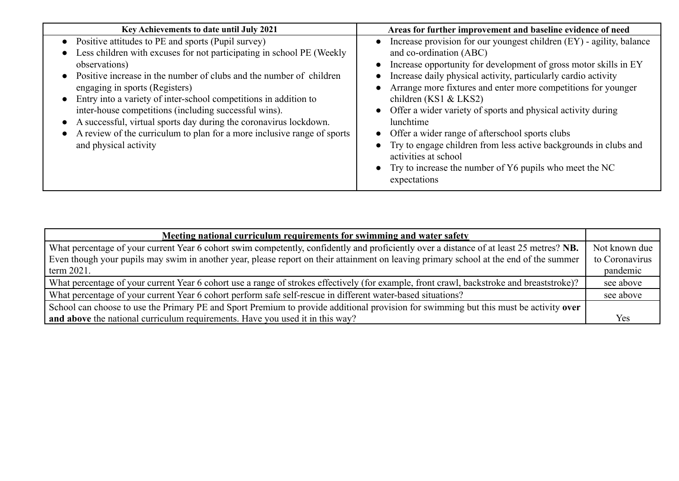| Key Achievements to date until July 2021                                                                                                                                                                                                                                                                                                                                                                                                                                                                                                                    | Areas for further improvement and baseline evidence of need                                                                                                                                                                                                                                                                                                                                                                                                                                                                                                                                                                                                      |
|-------------------------------------------------------------------------------------------------------------------------------------------------------------------------------------------------------------------------------------------------------------------------------------------------------------------------------------------------------------------------------------------------------------------------------------------------------------------------------------------------------------------------------------------------------------|------------------------------------------------------------------------------------------------------------------------------------------------------------------------------------------------------------------------------------------------------------------------------------------------------------------------------------------------------------------------------------------------------------------------------------------------------------------------------------------------------------------------------------------------------------------------------------------------------------------------------------------------------------------|
| Positive attitudes to PE and sports (Pupil survey)<br>Less children with excuses for not participating in school PE (Weekly<br>observations)<br>Positive increase in the number of clubs and the number of children<br>engaging in sports (Registers)<br>Entry into a variety of inter-school competitions in addition to<br>inter-house competitions (including successful wins).<br>A successful, virtual sports day during the coronavirus lockdown.<br>A review of the curriculum to plan for a more inclusive range of sports<br>and physical activity | Increase provision for our youngest children $(EY)$ - agility, balance<br>and co-ordination (ABC)<br>Increase opportunity for development of gross motor skills in EY<br>Increase daily physical activity, particularly cardio activity<br>Arrange more fixtures and enter more competitions for younger<br>$\bullet$<br>children (KS1 & LKS2)<br>• Offer a wider variety of sports and physical activity during<br>lunchtime<br>• Offer a wider range of afters chool sports clubs<br>• Try to engage children from less active backgrounds in clubs and<br>activities at school<br>• Try to increase the number of $Y6$ pupils who meet the NC<br>expectations |

| Meeting national curriculum requirements for swimming and water safety                                                                    |                |
|-------------------------------------------------------------------------------------------------------------------------------------------|----------------|
| What percentage of your current Year 6 cohort swim competently, confidently and proficiently over a distance of at least 25 metres? NB.   | Not known due  |
| Even though your pupils may swim in another year, please report on their attainment on leaving primary school at the end of the summer    | to Coronavirus |
| term $2021$ .                                                                                                                             | pandemic       |
| What percentage of your current Year 6 cohort use a range of strokes effectively (for example, front crawl, backstroke and breaststroke)? | see above      |
| What percentage of your current Year 6 cohort perform safe self-rescue in different water-based situations?                               | see above      |
| School can choose to use the Primary PE and Sport Premium to provide additional provision for swimming but this must be activity over     |                |
| and above the national curriculum requirements. Have you used it in this way?                                                             | Yes            |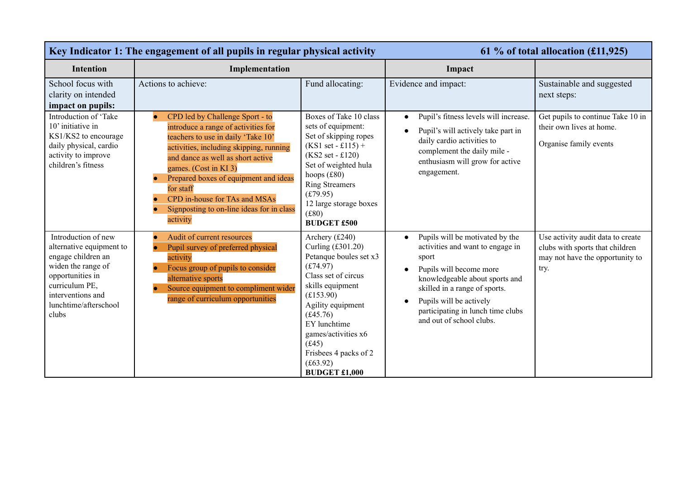| Key Indicator 1: The engagement of all pupils in regular physical activity                                                                                                               |                                                                                                                                                                                                                                                                                                                                                                       |                                                                                                                                                                                                                                                                                   |                                                                                                                                                                                                                                                                                                               | 61 % of total allocation $(\text{\textsterling}11, 925)$                                                        |
|------------------------------------------------------------------------------------------------------------------------------------------------------------------------------------------|-----------------------------------------------------------------------------------------------------------------------------------------------------------------------------------------------------------------------------------------------------------------------------------------------------------------------------------------------------------------------|-----------------------------------------------------------------------------------------------------------------------------------------------------------------------------------------------------------------------------------------------------------------------------------|---------------------------------------------------------------------------------------------------------------------------------------------------------------------------------------------------------------------------------------------------------------------------------------------------------------|-----------------------------------------------------------------------------------------------------------------|
| <b>Intention</b>                                                                                                                                                                         | Implementation                                                                                                                                                                                                                                                                                                                                                        |                                                                                                                                                                                                                                                                                   | Impact                                                                                                                                                                                                                                                                                                        |                                                                                                                 |
| School focus with<br>clarity on intended<br>impact on pupils:                                                                                                                            | Actions to achieve:                                                                                                                                                                                                                                                                                                                                                   | Fund allocating:                                                                                                                                                                                                                                                                  | Evidence and impact:                                                                                                                                                                                                                                                                                          | Sustainable and suggested<br>next steps:                                                                        |
| Introduction of 'Take<br>10' initiative in<br>KS1/KS2 to encourage<br>daily physical, cardio<br>activity to improve<br>children's fitness                                                | CPD led by Challenge Sport - to<br>introduce a range of activities for<br>teachers to use in daily 'Take 10'<br>activities, including skipping, running<br>and dance as well as short active<br>games. (Cost in KI 3)<br>Prepared boxes of equipment and ideas<br>for staff<br>CPD in-house for TAs and MSAs<br>Signposting to on-line ideas for in class<br>activity | Boxes of Take 10 class<br>sets of equipment:<br>Set of skipping ropes<br>$(KS1 set - £115) +$<br>$(KS2 set - £120)$<br>Set of weighted hula<br>hoops $(f80)$<br><b>Ring Streamers</b><br>(f.79.95)<br>12 large storage boxes<br>(f80)<br><b>BUDGET £500</b>                       | Pupil's fitness levels will increase.<br>$\bullet$<br>Pupil's will actively take part in<br>$\bullet$<br>daily cardio activities to<br>complement the daily mile -<br>enthusiasm will grow for active<br>engagement.                                                                                          | Get pupils to continue Take 10 in<br>their own lives at home.<br>Organise family events                         |
| Introduction of new<br>alternative equipment to<br>engage children an<br>widen the range of<br>opportunities in<br>curriculum PE,<br>interventions and<br>lunchtime/afterschool<br>clubs | Audit of current resources<br>Pupil survey of preferred physical<br>activity<br>Focus group of pupils to consider<br>alternative sports<br>Source equipment to compliment wider<br>range of curriculum opportunities                                                                                                                                                  | Archery (£240)<br>Curling (£301.20)<br>Petanque boules set x3<br>(f74.97)<br>Class set of circus<br>skills equipment<br>(E153.90)<br>Agility equipment<br>(f.45.76)<br>EY lunchtime<br>games/activities x6<br>(f.45)<br>Frisbees 4 packs of 2<br>(f63.92)<br><b>BUDGET £1,000</b> | Pupils will be motivated by the<br>$\bullet$<br>activities and want to engage in<br>sport<br>Pupils will become more<br>$\bullet$<br>knowledgeable about sports and<br>skilled in a range of sports.<br>Pupils will be actively<br>$\bullet$<br>participating in lunch time clubs<br>and out of school clubs. | Use activity audit data to create<br>clubs with sports that children<br>may not have the opportunity to<br>try. |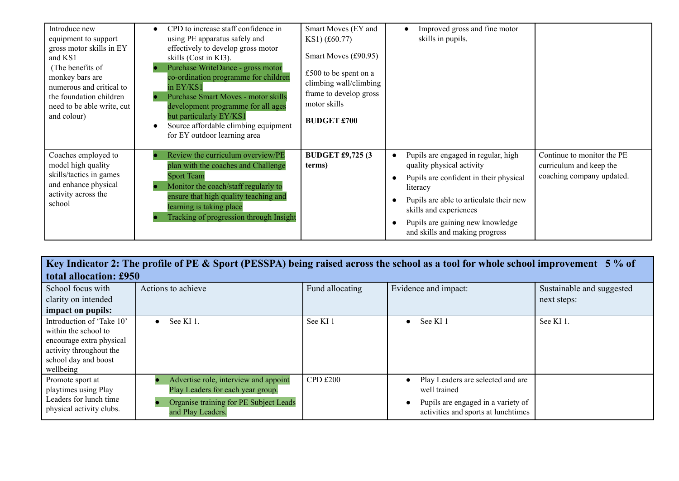| Introduce new<br>equipment to support<br>gross motor skills in EY<br>and KS1<br>(The benefits of<br>monkey bars are<br>numerous and critical to<br>the foundation children<br>need to be able write, cut<br>and colour) | CPD to increase staff confidence in<br>using PE apparatus safely and<br>effectively to develop gross motor<br>skills (Cost in KI3).<br>Purchase WriteDance - gross motor<br>co-ordination programme for children<br>in EY/KS1<br><b>Purchase Smart Moves - motor skills</b><br>development programme for all ages<br>but particularly EY/KS1<br>Source affordable climbing equipment<br>for EY outdoor learning area | Smart Moves (EY and<br>KS1) (£60.77)<br>Smart Moves (£90.95)<br>£500 to be spent on a<br>climbing wall/climbing<br>frame to develop gross<br>motor skills<br><b>BUDGET £700</b> | Improved gross and fine motor<br>skills in pupils.                                                                                                                                                                                                                |                                                                                    |
|-------------------------------------------------------------------------------------------------------------------------------------------------------------------------------------------------------------------------|----------------------------------------------------------------------------------------------------------------------------------------------------------------------------------------------------------------------------------------------------------------------------------------------------------------------------------------------------------------------------------------------------------------------|---------------------------------------------------------------------------------------------------------------------------------------------------------------------------------|-------------------------------------------------------------------------------------------------------------------------------------------------------------------------------------------------------------------------------------------------------------------|------------------------------------------------------------------------------------|
| Coaches employed to<br>model high quality<br>skills/tactics in games<br>and enhance physical<br>activity across the<br>school                                                                                           | Review the curriculum overview/PE<br>plan with the coaches and Challenge<br><b>Sport Team</b><br>Monitor the coach/staff regularly to<br>ensure that high quality teaching and<br>learning is taking place<br>Tracking of progression through Insight                                                                                                                                                                | <b>BUDGET £9,725 (3)</b><br>terms)                                                                                                                                              | Pupils are engaged in regular, high<br>quality physical activity<br>Pupils are confident in their physical<br>literacy<br>Pupils are able to articulate their new<br>skills and experiences<br>Pupils are gaining new knowledge<br>and skills and making progress | Continue to monitor the PE<br>curriculum and keep the<br>coaching company updated. |

| Key Indicator 2: The profile of PE & Sport (PESSPA) being raised across the school as a tool for whole school improvement 5% of               |                                                                                                                                           |                 |                                                                                                                                             |                           |
|-----------------------------------------------------------------------------------------------------------------------------------------------|-------------------------------------------------------------------------------------------------------------------------------------------|-----------------|---------------------------------------------------------------------------------------------------------------------------------------------|---------------------------|
| total allocation: £950                                                                                                                        |                                                                                                                                           |                 |                                                                                                                                             |                           |
| School focus with                                                                                                                             | Actions to achieve                                                                                                                        | Fund allocating | Evidence and impact:                                                                                                                        | Sustainable and suggested |
| clarity on intended                                                                                                                           |                                                                                                                                           |                 |                                                                                                                                             | next steps:               |
| impact on pupils:                                                                                                                             |                                                                                                                                           |                 |                                                                                                                                             |                           |
| Introduction of 'Take 10'<br>within the school to<br>encourage extra physical<br>activity throughout the<br>school day and boost<br>wellbeing | See KI 1.<br>$\bullet$                                                                                                                    | See KI 1        | See KI 1<br>$\bullet$                                                                                                                       | See KI 1.                 |
| Promote sport at<br>playtimes using Play<br>Leaders for lunch time<br>physical activity clubs.                                                | Advertise role, interview and appoint<br>Play Leaders for each year group.<br>Organise training for PE Subject Leads<br>and Play Leaders. | CPD £200        | Play Leaders are selected and are<br>$\bullet$<br>well trained<br>Pupils are engaged in a variety of<br>activities and sports at lunchtimes |                           |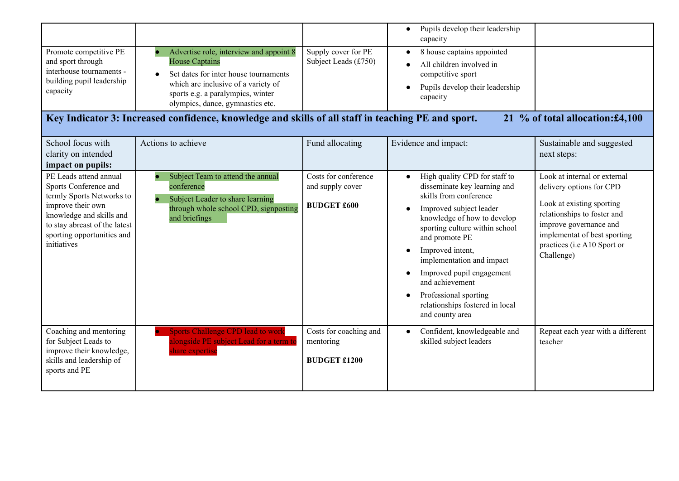|                                                                                                                                                                                                             |                                                                                                                                                                                                                                        |                                                                | Pupils develop their leadership<br>$\bullet$<br>capacity                                                                                                                                                                                                                                                                                                                              |                                                                                                                                                                                                                             |
|-------------------------------------------------------------------------------------------------------------------------------------------------------------------------------------------------------------|----------------------------------------------------------------------------------------------------------------------------------------------------------------------------------------------------------------------------------------|----------------------------------------------------------------|---------------------------------------------------------------------------------------------------------------------------------------------------------------------------------------------------------------------------------------------------------------------------------------------------------------------------------------------------------------------------------------|-----------------------------------------------------------------------------------------------------------------------------------------------------------------------------------------------------------------------------|
| Promote competitive PE<br>and sport through<br>interhouse tournaments -<br>building pupil leadership<br>capacity                                                                                            | Advertise role, interview and appoint 8<br><b>House Captains</b><br>Set dates for inter house tournaments<br>$\bullet$<br>which are inclusive of a variety of<br>sports e.g. a paralympics, winter<br>olympics, dance, gymnastics etc. | Supply cover for PE<br>Subject Leads (£750)                    | 8 house captains appointed<br>All children involved in<br>competitive sport<br>Pupils develop their leadership<br>capacity                                                                                                                                                                                                                                                            |                                                                                                                                                                                                                             |
|                                                                                                                                                                                                             | Key Indicator 3: Increased confidence, knowledge and skills of all staff in teaching PE and sport.                                                                                                                                     |                                                                |                                                                                                                                                                                                                                                                                                                                                                                       | 21 % of total allocation: £4,100                                                                                                                                                                                            |
| School focus with<br>clarity on intended<br>impact on pupils:                                                                                                                                               | Actions to achieve                                                                                                                                                                                                                     | Fund allocating                                                | Evidence and impact:                                                                                                                                                                                                                                                                                                                                                                  | Sustainable and suggested<br>next steps:                                                                                                                                                                                    |
| PE Leads attend annual<br>Sports Conference and<br>termly Sports Networks to<br>improve their own<br>knowledge and skills and<br>to stay abreast of the latest<br>sporting opportunities and<br>initiatives | Subject Team to attend the annual<br>conference<br>Subject Leader to share learning<br>through whole school CPD, signposting<br>and briefings                                                                                          | Costs for conference<br>and supply cover<br><b>BUDGET £600</b> | High quality CPD for staff to<br>disseminate key learning and<br>skills from conference<br>Improved subject leader<br>knowledge of how to develop<br>sporting culture within school<br>and promote PE<br>Improved intent,<br>implementation and impact<br>Improved pupil engagement<br>and achievement<br>Professional sporting<br>relationships fostered in local<br>and county area | Look at internal or external<br>delivery options for CPD<br>Look at existing sporting<br>relationships to foster and<br>improve governance and<br>implementat of best sporting<br>practices (i.e A10 Sport or<br>Challenge) |
| Coaching and mentoring<br>for Subject Leads to<br>improve their knowledge,<br>skills and leadership of<br>sports and PE                                                                                     | <b>Sports Challenge CPD lead to work</b><br>alongside PE subject Lead for a term to<br>share expertise                                                                                                                                 | Costs for coaching and<br>mentoring<br><b>BUDGET £1200</b>     | Confident, knowledgeable and<br>$\bullet$<br>skilled subject leaders                                                                                                                                                                                                                                                                                                                  | Repeat each year with a different<br>teacher                                                                                                                                                                                |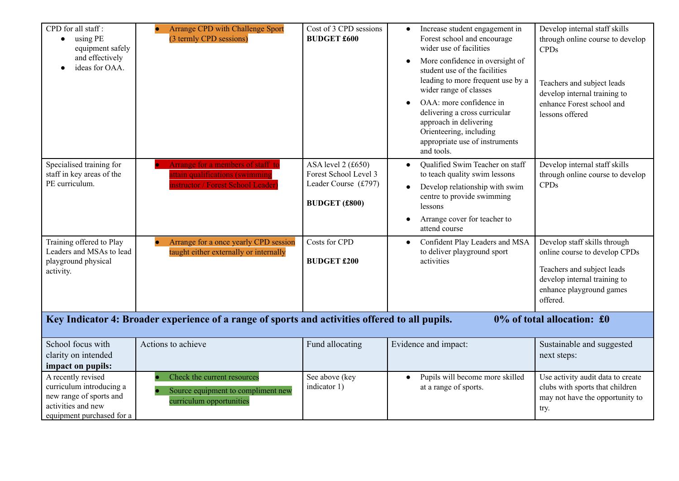| CPD for all staff:<br>using PE<br>$\bullet$<br>equipment safely<br>and effectively<br>ideas for OAA.                                                                | <b>Arrange CPD with Challenge Sport</b><br>(3 termly CPD sessions)                                                                                                                                     | Cost of 3 CPD sessions<br><b>BUDGET £600</b>                                                                                       | Increase student engagement in<br>$\bullet$<br>Forest school and encourage<br>wider use of facilities<br>More confidence in oversight of<br>$\bullet$<br>student use of the facilities<br>leading to more frequent use by a<br>wider range of classes<br>OAA: more confidence in<br>delivering a cross curricular<br>approach in delivering<br>Orienteering, including<br>appropriate use of instruments<br>and tools. | Develop internal staff skills<br>through online course to develop<br><b>CPDs</b><br>Teachers and subject leads<br>develop internal training to<br>enhance Forest school and<br>lessons offered                  |
|---------------------------------------------------------------------------------------------------------------------------------------------------------------------|--------------------------------------------------------------------------------------------------------------------------------------------------------------------------------------------------------|------------------------------------------------------------------------------------------------------------------------------------|------------------------------------------------------------------------------------------------------------------------------------------------------------------------------------------------------------------------------------------------------------------------------------------------------------------------------------------------------------------------------------------------------------------------|-----------------------------------------------------------------------------------------------------------------------------------------------------------------------------------------------------------------|
| Specialised training for<br>staff in key areas of the<br>PE curriculum.<br>Training offered to Play<br>Leaders and MSAs to lead<br>playground physical<br>activity. | Arrange for a members of staff to<br><b>Intitiation</b> (swimming<br>nstructor / Forest School Leader)<br>Arrange for a once yearly CPD session<br>$\bullet$<br>taught either externally or internally | ASA level 2 (£650)<br>Forest School Level 3<br>Leader Course (£797)<br><b>BUDGET (£800)</b><br>Costs for CPD<br><b>BUDGET £200</b> | Qualified Swim Teacher on staff<br>to teach quality swim lessons<br>Develop relationship with swim<br>$\bullet$<br>centre to provide swimming<br>lessons<br>Arrange cover for teacher to<br>attend course<br>Confident Play Leaders and MSA<br>to deliver playground sport<br>activities                                                                                                                               | Develop internal staff skills<br>through online course to develop<br><b>CPDs</b><br>Develop staff skills through<br>online course to develop CPDs<br>Teachers and subject leads<br>develop internal training to |
|                                                                                                                                                                     |                                                                                                                                                                                                        |                                                                                                                                    |                                                                                                                                                                                                                                                                                                                                                                                                                        | enhance playground games<br>offered.                                                                                                                                                                            |
|                                                                                                                                                                     | Key Indicator 4: Broader experience of a range of sports and activities offered to all pupils.                                                                                                         |                                                                                                                                    |                                                                                                                                                                                                                                                                                                                                                                                                                        | 0% of total allocation: £0                                                                                                                                                                                      |
| School focus with<br>clarity on intended<br>impact on pupils:                                                                                                       | Actions to achieve                                                                                                                                                                                     | Fund allocating                                                                                                                    | Evidence and impact:                                                                                                                                                                                                                                                                                                                                                                                                   | Sustainable and suggested<br>next steps:                                                                                                                                                                        |
| A recently revised<br>curriculum introducing a<br>new range of sports and<br>activities and new<br>equipment purchased for a                                        | Check the current resources<br>Source equipment to compliment new<br>curriculum opportunities                                                                                                          | See above (key<br>indicator 1)                                                                                                     | Pupils will become more skilled<br>$\bullet$<br>at a range of sports.                                                                                                                                                                                                                                                                                                                                                  | Use activity audit data to create<br>clubs with sports that children<br>may not have the opportunity to<br>try.                                                                                                 |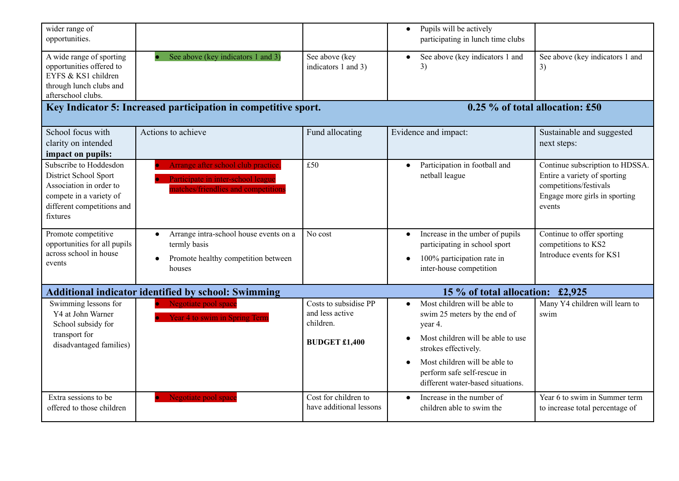| wider range of<br>opportunities.                                                                                                                |                                                                                                                 |                                                                               | Pupils will be actively<br>$\bullet$<br>participating in lunch time clubs                                                                                                                                                                  |                                                                                                                                      |
|-------------------------------------------------------------------------------------------------------------------------------------------------|-----------------------------------------------------------------------------------------------------------------|-------------------------------------------------------------------------------|--------------------------------------------------------------------------------------------------------------------------------------------------------------------------------------------------------------------------------------------|--------------------------------------------------------------------------------------------------------------------------------------|
| A wide range of sporting<br>opportunities offered to<br>EYFS & KS1 children<br>through lunch clubs and<br>afterschool clubs.                    | See above (key indicators 1 and 3)                                                                              | See above (key<br>indicators 1 and 3)                                         | See above (key indicators 1 and<br>3)                                                                                                                                                                                                      | See above (key indicators 1 and<br>3)                                                                                                |
|                                                                                                                                                 | Key Indicator 5: Increased participation in competitive sport.                                                  |                                                                               |                                                                                                                                                                                                                                            | 0.25 % of total allocation: £50                                                                                                      |
| School focus with<br>clarity on intended<br>impact on pupils:                                                                                   | Actions to achieve                                                                                              | Fund allocating                                                               | Evidence and impact:                                                                                                                                                                                                                       | Sustainable and suggested<br>next steps:                                                                                             |
| Subscribe to Hoddesdon<br>District School Sport<br>Association in order to<br>compete in a variety of<br>different competitions and<br>fixtures | Arrange after school club practice<br>Participate in inter-school league<br>natches/friendlies and competitions | £50                                                                           | Participation in football and<br>netball league                                                                                                                                                                                            | Continue subscription to HDSSA.<br>Entire a variety of sporting<br>competitions/festivals<br>Engage more girls in sporting<br>events |
| Promote competitive<br>opportunities for all pupils<br>across school in house<br>events                                                         | Arrange intra-school house events on a<br>termly basis<br>Promote healthy competition between<br>houses         | No cost                                                                       | Increase in the umber of pupils<br>$\bullet$<br>participating in school sport<br>100% participation rate in<br>inter-house competition                                                                                                     | Continue to offer sporting<br>competitions to KS2<br>Introduce events for KS1                                                        |
|                                                                                                                                                 | <b>Additional indicator identified by school: Swimming</b>                                                      |                                                                               | 15 % of total allocation: £2,925                                                                                                                                                                                                           |                                                                                                                                      |
| Swimming lessons for<br>Y4 at John Warner<br>School subsidy for<br>transport for<br>disadvantaged families)                                     | Negotiate pool space<br><b>Year 4 to swim in Spring Term</b>                                                    | Costs to subsidise PP<br>and less active<br>children.<br><b>BUDGET £1,400</b> | Most children will be able to<br>swim 25 meters by the end of<br>year 4.<br>Most children will be able to use<br>strokes effectively.<br>Most children will be able to<br>perform safe self-rescue in<br>different water-based situations. | Many Y4 children will learn to<br>swim                                                                                               |
| Extra sessions to be<br>offered to those children                                                                                               | Negotiate pool space                                                                                            | Cost for children to<br>have additional lessons                               | Increase in the number of<br>children able to swim the                                                                                                                                                                                     | Year 6 to swim in Summer term<br>to increase total percentage of                                                                     |